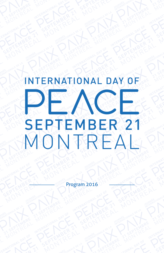# INTERNATIONAL DAY OF PEACE **SEPTEMBER 21** MONTREAL

Program 2016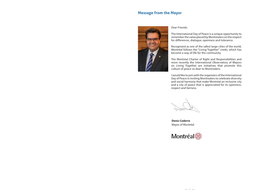# **Message from the Mayor**



## Dear Friends:

The International Day of Peace is a unique opportunity to remember the value placed by Montrealers on the respect for differences, dialogue, openness and tolerance.

Recognized as one of the safest large cities of the world, Montréal follows the "Living Together" credo, which has become a way of life for the community.

The Montréal Charter of Right and Responsibilities and more recently the International Observatory of Mayors on Living Together are initiatives that promote this culture of peace so dear to Montrealers.

I would like to join with the organizers of the International Day of Peace in inviting Montrealers to celebrate diversity and social harmony that make Montréal an inclusive city and a city of peace that is appreciated for its openness, respect and fairness.

**Denis Coderre** Mayor of Montréal

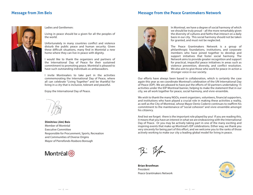## **Message from Jim Beis**

## **Message from the Peace Grantmakers Network**



Ladies and Gentlemen:

Living in peace should be a given for all the peoples of the world.

Unfortunately in many countries conflict and violence disturb the public peace and human security. Given these difficult situations, many find in Montréal a new home where they can live in peace with dignity.

I would like to thank the organizers and partners of the International Day of Peace for their sustained commitment to promoting peace. Montréal is pleased to have such outstanding individuals as ambassadors.

I invite Montrealers to take part in the activities commemorating the International Day of Peace, where all can celebrate "Living Together" and be thankful for living in a city that is inclusive, tolerant and peaceful.

Enjoy the International Day of Peace.



**Dimitrios (Jim) Beis** Member of Montréal Executive Committee Responsible for Procurement, Sports, Recreation and Communities of Diverse Origins Mayor of Pierrefonds-Roxboro Borough





In Montreal, we have a degree of social harmony of which we should be truly proud – all the more remarkably given the diversity of cultures and faiths that interact on a daily basis in our city. This social harmony should not be taken for granted, and must not be neglected.

The Peace Grantmakers Network is a group of philanthropic foundations, institutions, and corporate members who have joined together to develop and support initiatives that foster social harmony. The Network aims to provide greater recognition and support for practical, impactful peace initiatives in areas such as violence prevention, diversity, and conflict resolution. We also aim to give those who work for peace-in-action a stronger voice in our society.

Our efforts have always been based in collaboration, which is certainly the case again this year as we coordinate Montreal's celebration of the UN International Day of Peace (IDP). We are pleased to have put the efforts of 50 partners undertaking 15 activities under the IDP Montreal banner, helping to make the statement that in our city, we all work together for peace, social harmony, and vivre-ensemble.

We wish to thank the many NGOs, event organizers, volunteers, financial supporters, and institutions who have played a crucial role in making these activities a reality, as well as the City of Montreal, whose Mayor Denis Coderre continues to reaffirm his commitment to the maintenance of "social cohesion" and vivre-ensemble amongst his citizenry.

And lest we forget: there is the important role played by you! If you are reading this, it means that you have an interest in what we are endeavoring with the International Day of Peace. Or you may be actively taking part in one of the many exciting and inspiring events that make up Montreal's IDP celebrations. Either way, we thank you very sincerely for being part of this effort, and we welcome you to the ranks of those actively working to make our city a leading global model for living in peace.

B: B/m

**Brian Bronfman**  President Peace Grantmakers Network

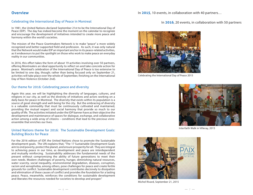## Celebrating the International Day of Peace in Montreal

In 1981, the United Nations declared September 21st to be the International Day of Peace (IDP). The day has indeed become the moment on the calendar to recognize and encourage the development of initiatives intended to create more peace and harmony within the world's societies.

The mission of the Peace Grantmakers Network is to make "peace" a more widely recognized and better-supported field and profession. As such, it was only natural that the Network would make IDP an important anchor in its peace-related activities, as it endeavours to put the spotlight on those who work to make peace an everyday reality in our communities.

In 2016, this effort takes the form of about 19 activities involving over 50 partners, offering Montrealers an ideal opportunity to reflect on and take concrete action for peace. Montreal's celebration of the International Day of Peace is too extensive to be limited to one day, though; rather than being focused only on September 21, activities will take place over the whole of September, finishing on the International Day of Non-Violence (October 2nd).

## Our theme for 2016: Celebrating peace and diversity

Again this year, we will be highlighting the diversity of languages, cultures, and religions in our city, as well as the diversity of initiatives and actors working on a daily basis for peace in Montreal. The diversity that exists within its population is a source of great strength and well-being for the city. But the embracing of diversity is a valuable commodity that must be continuously cultivated and maintained, providing the mutual respect and social harmony that provide so much to our quality of life. The activities initiated under the IDP banner have as their objective the development and maintenance of spaces for dialogue, exchange, and collaborative action among a wide array of citizens – conditions that lead to the precious vivreensemble that enriches our lives.

## United Nations theme for 2016: The Sustainable Development Goals: Building Blocks for Peace

For the 2016 edition of IDP, the United Nations chose to promote the Sustainable development goals. The UN explains that, "The 17 Sustainable Development Goals aim to end poverty, protect the planet, and ensure prosperity for all. They are integral to achieving peace in our time, as development and peace are interdependent and mutually reinforcing. Sustainability addresses the fundamental needs of the present without compromising the ability of future generations to meet their own needs. Modern challenges of poverty, hunger, diminishing natural resources, water scarcity, social inequality, environmental degradation, diseases, corruption, racism and xenophobia, among others, pose challenges for peace and create fertile grounds for conflict. Sustainable development contributes decisively to dissipation and elimination of these causes of conflict and provides the foundation for a lasting peace. Peace, meanwhile, reinforces the conditions for sustainable development and liberates the resources needed for societies to develop and prosper."

## In **2016**, 20 events, in collaboration with 50 partners



Celebrating the International Day of Peace 2015



Interfaith Walk in Villeray, 2015



Michel Rivard, September 21, 2015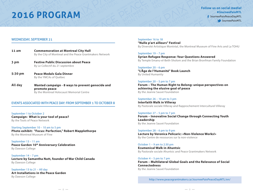

## WEDNESDAY, SEPTEMBER 21

| 11 am   | <b>Commemoration at Montreal City Hall</b><br>By the City of Montreal and the Peace Grantmakers Network        |
|---------|----------------------------------------------------------------------------------------------------------------|
| 3 pm    | <b>Festive Public Discussion about Peace</b><br>By Le Collectif du 21 septembre                                |
| 5:30 pm | <b>Peace Medals Gala Dinner</b><br>By the YMCAs of Québec                                                      |
| All day | Wanted campaign - 8 ways to prevent genocide and<br>promote peace<br>By the Montreal Holocaust Memorial Centre |

## EVENTS ASSOCIATED WITH PEACE DAY: FROM SEPTEMBER 1 TO OCTOBER 8

September 1 to October 2 **Campaign: What is your tool of peace?** By the Tools of Peace Network

Starting September 10 – 10 am to 5 pm **Photo exhibit: "Focus: Perfection," Robert Mapplethorpe** By the Montreal Museum of Fine

September 13 – 11 am **Peace Garden 10th Anniversary Celebration**  By Dawson College

September 14 – 7 pm **Lecture by Samantha Nutt, founder of War Child Canada** By Dawson College

September 13 to 21 – All day **Art Installations in the Peace Garden** By Dawson College

September 16 to 18 **"Nulle p'art ailleurs" Festival** By Diversité Artistique Montréal, the Montreal Museum of Fine Arts and La TOHU

## September 19 – 7 pm

**Syrian Refugee Response: Your Questions Answered** By Temple Emanu-el-Beth-Sholom and the Brian Bronfman Family Foundation

September 20 – 6 pm **"L'Âge de l'Humanité" Book Launch** By United Humanity

## September 20 – 5 pm to 7 pm

**Forum – The Human Right to Belong: unique perspectives on achieving the elusive goal of peace**  By the Jeanne Sauvé Foundation

## September 26 – 10 am to 3 pm

**Interfaith Walk in Villeray** By Pastorale sociale Villeray and Rapprochement Interculturel Villeray

## September 27 – 5 pm to 7 pm

**Forum – Innovative Social Change through Connecting Youth Leadership** By the Jeanne Sauvé Foundation

September 28 – 6 pm to 9 pm **Lecture by Veronica Pelicaric: «Non-Violence Works!»** By the Centre de ressources sur la non-violence

## October 1 – 9 am to 2:30 pm

**Ecumenical Walk in Ahuntsic** By Pastorale sociale Ahuntsic and Peace Grantmakers Network

October 4 – 5 pm to 7 pm

**Forum – Multilateral Global Goals and the Relevance of Social Connectedness**  By the Jeanne Sauvé Foundation

http://www.peacegrantmakers.ca/JourneePaixPeaceDayMTL/en/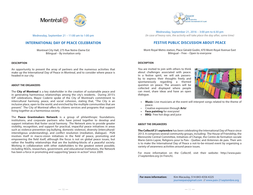



Wednesday, September 21 – 11:00 am to 1:00 pm

## **INTERNATIONAL DAY OF PEACE CELEBRATION**

Montreal City Hall, 275 Rue Notre-Dame Est Bilingual – By invitation only

## **DESCRIPTION**

An opportunity to present the array of partners and the numerous activities that make up the International Day of Peace in Montreal, and to consider where peace is headed in our city.

#### **ABOUT THE ORGANIZERS**

The **City of Montreal** is a key stakeholder in the creation of sustainable peace and in generating harmonious relationships among the city's residents. During 2015's IDP celebrations, Mayor Coderre spoke of the City of Montreal's commitment to intercultural harmony, peace, and social cohesion, stating that, "The City is an inclusive place, open to the world, and enriched by the multiple communities that are present." The City of Montreal offers its citizens services and programs that support living together as a harmonious society.

The **Peace Grantmakers Network** is a group of philanthropic foundations, institutions, and corporate partners who have joined together to develop and support initiatives that foster social harmony. The Network aims to provide greater visibility, recognition, and support for practical, impactful peace initiatives in areas such as violence prevention (eg bullying, domestic violence), diversity (intercultural/ interreligious understanding), and conflict resolution (mediation, dialogue). PGN involves itself in macro-vision initiatives in the field of peace, promoting and empowering the field itself, although the focus is not on global peace issues, but rather the healthy relationships that are the building-blocks of a peaceful society. Working in collaboration with other stakeholders to the greatest extent possible, including NGOs, researchers, government, and educational institutions, the Network has been a force in promoting and supporting "peace-in-action" since 2009.

Wednesday, September 21, 2016 – 3:00 pm to 6:30 pm (In case of heavy rain, the activity will take place the day after, same time)

## **FESTIVE PUBLIC DISCUSSION ABOUT PEACE**

Mont-Royal Metro station, Place Gérald-Godin, 470 Mont-Royal Avenue East Bilingual – Free – Open to everyone

## **DESCRIPTION**

You are invited to join with others to think about challenges associated with peace. In a festive spirit, we will ask passersby to express their thoughts freely and spontaneously regarding a themed question on peace. The answers will be collected and displayed where people can meet, share ideas and have an open dialogue.



- **Music:** Live musicians at the event will interpret songs related to the theme of peace.
- Creative expression through **Arts**!
- **Face painting** for everyone!
- **BBQ:** Free hot dogs and juice

#### **ABOUT THE ORGANIZERS**

**The Collectif 21 septembre** has been celebrating the International Day of Peace since 2013. It comprises several community groups, including: The House of Friendship, the Mennonite Central Committee, Initiatives of Change, the Centre de formation sociale Marie-Gérin-Lajoie, Religions pour la Paix - Québec and Antennes de paix. Their aim is to make the International Day of Peace a not-to-be-missed event by organizing a variety of awareness activities around peace issues.

For more information on the Collectif, visit their website: http://www.paix-21septembre.org (in French).

**For more information:** Kim Macaulay, 514-843-4356 #225 journeepaix@gmail.com // www.paix-21septembre.org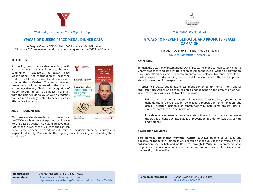

Wednesday, September 21 – 5:30 pm to 10 pm

## **YMCAS OF QUÉBEC PEACE MEDAL DINNER GALA**

Le Parquet-Centre CDP Capital, 1000 Place Jean-Paul-Riopelle Bilingual - 350\$ (revenues benefitting youth programs at the YMCAs of Québec)

#### **DESCRIPTION**

A moving and memorable evening, with 400 attendees – many from the business community – expected, the YMCA Peace Medals honour the contribution of those who work to build more peaceful and harmonious communities in Quebec. This year's honorary peace medal will be presented to the amazing entertainer Gregory Charles, in recognition of his contribution to our social peace. Revenues from the gala will go to YMCA youth programs that are most closely related to peace, such as Alternative Suspension.



#### **ABOUT THE ORGANIZERS**

With peace as a fundamental part of its mandate, the **YMCA** has been an active promoter of peace for the past 30 years. The YMCAs believe that, "More than the absence of violence and conflict,

peace is the presence of conditions like fairness, inclusion, empathy, security, and respect for diversity. Peace is also the ongoing work of building and rebuilding these conditions."



Wednesday, September 21

## **8 WAYS TO PREVENT GENOCIDE AND PROMOTE PEACE! CAMPAIGN**

Bilingual – Open to all – Social media campaign! @MuseeHolocauste // #PeaceDay

## **DESCRIPTION**

To mark the occasion of International Day of Peace, the Montreal Holocaust Memorial Centre proposes to create a Twitter action based on the idea of Genocide prevention, if we understand peace to be a commitment to non-violence, tolerance, acceptance, mutual respect. Understanding the genocidal process is one of the most important steps in preventing future genocides.

In order to increase public awareness about contemporary human rights abuses and foster discussions and action-oriented engagement on the promotion of nonviolence, we are asking you to tweet the following:

- Using one, some or all stages of genocide (classification, symbolization, dehumanization, organization, polarization, preparation, extermination, and denial), describe instances of contemporary human rights abuses (acts of violence, hate speech, discrimination.
- Provide one recommendation or concrete action which can be used to reverse the stages of genocide into stages of prevention in order to stop acts of hate and violence.

#### **ABOUT THE ORGANIZERS**

**The Montreal Holocaust Memorial Centre** educates people of all ages and backgrounds about the Holocaust, while sensitizing the public to the universal perils of antisemitism, racism, hate and indifference. Through its Museum, its commemorative programs and educational initiatives, the Centre promotes respect for diversity and the sanctity of human life.

**Registration mandatory:**  Chantal Mallette, 514-849-5331 #1297 chantal.mallette@ymcaquebec.org http://www.ymcaquebec.org/en/About-Us/Events/Peace-Medals

**For more information:** Dafina Savic, 514-345-2605 #3196 dafina.savic@mhmc.ca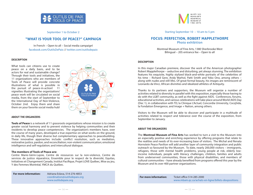

## September 1 to October 2

## **"WHAT IS YOUR TOOL OF PEACE?" CAMPAIGN**

In French – Open to all – Social media campaign! facebook.com/OutilsDePaix // twitter.com/outilsdepaix

## **DESCRIPTION**

What tools can citizens use to create peace on a daily basis, and to be actors for real and sustainable change? Through their tools and initiatives, the 11 organizations who are members of Tools of Peace will provide concrete illustrations of what is possible in the pursuit of peace-in-action! 11 vignettes illustrating the organizations' peace work will be circulated on social media, from the start of September to the International Day of Non-Violence, October 2nd. Enjoy them and share them on your favorite social media hub!



#### **ABOUT THE ORGANIZERS**

**Tools of Peace** is a network of 11 grassroots organizations whose mission is to create greater social harmony and to prevent violence by helping communities and their residents to develop peace competencies. The organization's members have, over the course of many years, developed a true expertise on what works on the ground, in daily life, though their diverse but complementary approaches to peacebuilding. These innovative approaches include: conflict resolution, such as mediation, restorative justice, pardon, and reconciliation; non-violent communication; emotional intelligence and self-regulation; and intercultural dialogue.

## **The members of Tools of Peace are:**

Centre Marie-Gérin-Lajoie, Centre de ressources sur la non-violence, Centre de services de justice réparatrice, Ensemble pour le respect de la diversité, Equitas, Initiatives et Changement Canada, Institut Pacifique, Projet LOVE Québec, Mise au jeu, Y des Femmes Montréal, YMCA du Québec.

Adriana Eslava, 514-276-4853 coordination@outilsdepaix.org www.outilsdepaix.org **For more information:**



#### Starting September 10 – 10 am to 5 pm

## **FOCUS: PERFECTION, ROBERT MAPPLETHORPE** Photo exhibition

Montreal Museum of Fine Arts, 1380 Sherbrooke West Bilingual – 20\$ entrance fee – Open to all

#### **DESCRIPTION**

In this major Canadian premiere, discover the work of the American photographer Robert Mapplethorpe – seductive and disturbing, yet always stunning. The exhibition features his exquisite, highly stylized black-and-white portraits of the celebrities of his time – Richard Gere, Andy Warhol, Patti Smith and Yoko Ono, among others – along with nudes and still lifes. Of great formal beauty, his images are reminiscent of Leonardo da Vinci, African divinities and idealized athletes of Antiquity.

Thanks to its partners and supporters, the Museum will organize a number of activities related to diversity in parallel with this exposition, especially those having to do with the LGBT community, as well as the fight against AIDS. Conferences, forums, educational activities, and various celebrations will take place around World AIDS Day (Dec 1), in collaboration with TD, la Clinique L'Actuel, Concordia University, CocqSida, la Fondation Émergence, and Image + Nation, among others.

Visitors to the Museum will be able to discover and participate in a multitude of activities related to respect and tolerance over the course of the exposition, from September to January.

#### **ABOUT THE ORGANIZERS**

The **Montreal Museum of Fine Arts** has worked to turn a visit to the Museum into an especially positive and enriching experience by offering programs that relate to the realities and needs of its ever-increasing base of visitors. The Michal and Renata Hornstein Peace Pavilion will add another layer of community integration and public outreach so favoured by the Museum. To date, nearly 200,000 visitors – immigrants, refugees, those with mental health problems, young people at risk, elderly lowincome individuals, people with literacy challenges, children, families and adults from underserved communities, those with physical disabilities, and members of cultural communities – have already benefited from programs offered this year by the Museum and its over 400 partner organizations.

**For more information:** Ticket office 514-285-2000 www.mbam.qc.ca/achats-en-ligne/billets-dexpositions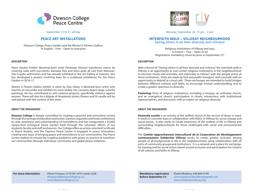

## September 13 to 21, all day

## **PEACE ART INSTALLATIONS**

Dawson College, Peace Garden and the Warren G Flowers Gallery In English – Free – Open to everyone

## **DESCRIPTION**

Peace Garden Exhibit: Montreal-born artist Penelope Stewart transforms rooms by covering walls with succulents, baroque tiles and lotus pods all cast from beeswax. She is quite well-known and has already exhibited in the Art Gallery at Dawson. She has developed a project involving bees for a sculptural installation for the Peace Garden in 2016-17.

Warren G Flowers Gallery Exhibit: A show by Dan Oxley, a Montreal-born artist who teaches at Concordia and exhibits his work widely. His canvases depict large, colorful paintings. He has contributed to anti-violence projects, specifically violence against women. There will also be a display of Anastasia's photo, flowers and lit candle will be well placed with the context of the show.

#### **ABOUT THE ORGANIZERS**

**Dawson College** is deeply committed to creating a peaceful and nonviolent society through the synergy of education and action. Dawson organizes and hosts conferences to raise awareness and understanding of nonviolence and has inaugurated a 20,000 square-foot ecological Peace Garden built through the volunteer efforts of our students, faculty and staff, and alumni. Our College offers an action-oriented Certificate in Peace Studies, and the Dawson Peace Centre is engaged in peace innovation, creating new ways of bringing peace and nonviolence to our communities. The Peace Centre realizes its mission by coupling academics with peace-in-practice to transform our communities through individual, community and global peace initiatives.



Monday, September 26, 10 am – 3 pm

## **INTERFAITH WALK – VILLERAY NEIGHBOURHOOD** Seeing others in all their diversity and richness!

Religious institutions of Villeray and area In French – Free – Open to all Registration mandatory (must be prior to September 21)

#### **DESCRIPTION**

With a theme of, "Seeing others in all their diversity and richness," the interfaith walk in Villeray is an opportunity to visit certain religious institutions in the neighbourhood, to discover rituals and activities, and especially to interact with the people active at these institutions. Visits are made by foot and public transport, and conclude with an opportunity to debrief at a local café. These exchanges are intended to build bridges between different cultures and faiths, to encourage mutual understanding, and to create a greater openness to diversity.

**Featuring:** Visits of religious institutions, including a mosque, an orthodox church, and an evangelical church, participation in rituals, interactions with institutional representatives, and discussion with an expert on religious diversity.

#### **ABOUT THE ORGANIZERS**

**Pastorale sociale** is an activity of the unified church at the service of those in need. It works in concrete ways in collaboration with NGOs in Villeray for social change and social justice. It also works to create awareness of the realities of life in Villeray and surrounding neighbourhoods for those challenged with social and environmental difficulties.

The **Comité rapprochement interculturel de la Corporation de développement communautaire Solidarités Villeray** works to create greater inclusion among people of all backgrounds in life in the neighbourhood, using collaboration with all sorts of community groups and institutions. It is a network and a place for exchange, for training and for social action based around inclusion and participation for citizens of all cultures and faiths in Villeray.

#### **For more information:**

Olivier Forques, (514) 931-8731 poste 3228 oforgues@dawsoncollege.qc.ca www.dawsoncollege.qc.ca

## **Mandatory registration before September 21:**

Élodie Ékobena, 438-869-4199 www.pastosocialevilleray@gmail.com www.solidaritesvilleray.org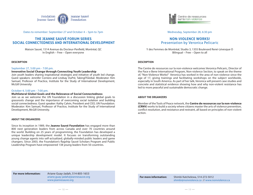

Dates to remember: September 27 and October 4 – 5pm to 7pm

## **THE JEANNE SAUVÉ FORUM SERIES SOCIAL CONNECTEDNESS AND INTERNATIONAL DEVELOPMENT**

Maison Sauvé, 1514 Avenue du Docteur-Penfield, Montréal, QC In English – Free – Open everyone

## **DESCRIPTION**

## September 27, 5:00 pm - 7:00 pm.

## **Innovative Social Change through Connecting Youth Leadership**

Join youth leaders sharing inspirational strategies and initiative of youth led change. Guest speakers: Jennifer Corriero and Lindsay DuPré, TakingITGlobal. Moderator: Kim Samuel, Professor of Practice, Institute for the Study of International Development, McGill University

## October 4, 5:00 pm - 7:00 pm.

## **Multilateral Global Goals and the Relevance of Social Connectedness**

Join us as we welcome the UN Foundation in a discussion linking global goals to grassroots change and the importance of overcoming social isolation and building social connectedness. Guest speaker: Kathy Calvin, President and CEO, UN Foundation. Moderator: Kim Samuel, Professor of Practice, Institute for the Study of International Development, McGill University.

## **ABOUT THE ORGANIZERS**

Since its inception in 1989, the **Jeanne Sauvé Foundation** has engaged more than 800 next generation leaders from across Canada and over 70 countries around the world. Building on 25 years of programming, the Foundation has developed a unique leadership development model. It focuses on transforming outstanding young change agents into self-actualized, globally-minded public leaders and game changers. Since 2003, the Foundation's flagship Sauvé Scholars Program and Public Leadership Program have empowered 138 young leaders from 50 countries.



## Wednesday, September 28, 6:30 pm

## **NON-VIOLENCE WORKS!**  Presentation by Veronica Pelicaric

Y des Femmes de Montréal, Studio 3, 1355 Boulevard René-Lévesque O Bilingual – Free – Open to all

## **DESCRIPTION**

The Centre de ressources sur la non-violence welcomes Veronica Pelicaric, Director of the Pace e Bene International Program, Non-violence Section, to speak on the theme of, "Non-Violence Works!" Veronica has worked in the area of non-violence since the age of 17, giving trainings and facilitating workshops on the subject worldwide, especially in South America. As part of her talk, Veronica will present case studies and concrete and statistical evidence showing how and why non-violent resistance has led to more peaceful and sustainable democratic change.

## **ABOUT THE ORGANIZERS**

Member of the Tools of Peace network, the **Centre de ressources sur la non-violence (CRNV)** works to build a society where citizens master the arts of violence prevention, conflict resolution, and resistance and restraint, all based on principles of non-violent action.

#### **For more information:**

Ariane Guay-Jadah, 514-805-1653 ariane.guay-jadah@jeannesauve.org www.jeannesauve.org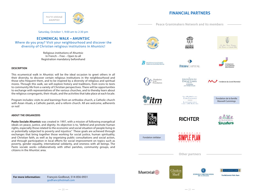# **FINANCIAL PARTNERS**

**Peace Grantmakers Network and its members**



Saturday, October 1, 9:00 am to 2:30 pm

## **ECUMENICAL WALK – AHUNTSIC**

Where do you pray? Visit your neighbourhood and discover the diversity of Christian religious institutions in Ahuntsic!

> Religious institutions of Ahuntsic In French – Free – Open to all Registration mandatory beforehand

## **DESCRIPTION**

This ecumenical walk in Ahuntsic will be the ideal occasion to greet others in all their diversity, to discover certain religious institutions in the neighbourhood and those who frequent them, and to be inspired by a diversity of religious and spiritual mores. Through this walk, we will explore history and traditions, from icons to texts to community life from a variety of Christian perspectives. There will be opportunities to exchange with representatives of the various churches, and to thereby learn about the religious congregants, their rituals, and the activities that take place at each locale.

Program includes: visits to and learnings from an orthodox church, a Catholic church with Asian rituals, a Catholic parish, and a reform church. All are welcome, adherents or not!

## **ABOUT THE ORGANIZERS**

**Pasto Sociale Ahuntsic** was created in 1997, with a mission of following evangelical ideals on peace, justice, and dignity. Its objective is to, "defend and promote human rights, especially those related to the economic and social situation of people living in or potentially subjected to poverty and injustice." These goals are achieved through exchanges that bring together those working for social justice, human spirituality, and Christian faith, as well as by organizing public consultations and social action, and through participation in local efforts for social improvement on topics such as poverty, gender equality, international solidarity, and oneness with all beings. The Pasto sociale works collaboratively with other parishes, community groups, and citizens in the Ahuntsic area.







**Brian Brontman Family Foundation** dation de la famille Brian Sronfmar







**FONDATION DU** DALAÍ LAMA Un organisme<br>r l'éthique et la paix

Fondation du Grand Montréal



Total J.W. McCrissina **FAMILY FOUNDATION**  $\mathbf{L}\mathbf{A}$  fondation de  $\mathbf{L}\mathbf{A}$ EQUILITY J.W. McCowston

Fondation de la famille Maxwell Cummings



**RICHTER** 



Fondation stellabar



**Other partners**





POWER CORPORATION **DU CANADA** 



**The McCormick Fallis Team** 

**For more information:** François Godbout, 514-856-0931 godfranc@hotmail.com